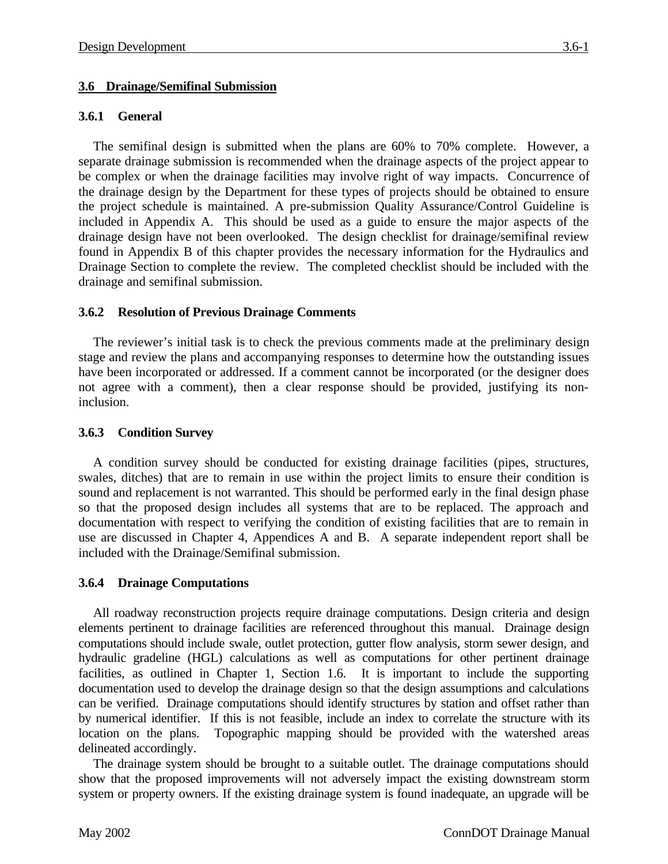## **3.6 Drainage/Semifinal Submission**

## **3.6.1 General**

The semifinal design is submitted when the plans are 60% to 70% complete. However, a separate drainage submission is recommended when the drainage aspects of the project appear to be complex or when the drainage facilities may involve right of way impacts. Concurrence of the drainage design by the Department for these types of projects should be obtained to ensure the project schedule is maintained. A pre-submission Quality Assurance/Control Guideline is included in Appendix A. This should be used as a guide to ensure the major aspects of the drainage design have not been overlooked. The design checklist for drainage/semifinal review found in Appendix B of this chapter provides the necessary information for the Hydraulics and Drainage Section to complete the review. The completed checklist should be included with the drainage and semifinal submission.

## **3.6.2 Resolution of Previous Drainage Comments**

The reviewer's initial task is to check the previous comments made at the preliminary design stage and review the plans and accompanying responses to determine how the outstanding issues have been incorporated or addressed. If a comment cannot be incorporated (or the designer does not agree with a comment), then a clear response should be provided, justifying its noninclusion.

### **3.6.3 Condition Survey**

A condition survey should be conducted for existing drainage facilities (pipes, structures, swales, ditches) that are to remain in use within the project limits to ensure their condition is sound and replacement is not warranted. This should be performed early in the final design phase so that the proposed design includes all systems that are to be replaced. The approach and documentation with respect to verifying the condition of existing facilities that are to remain in use are discussed in Chapter 4, Appendices A and B. A separate independent report shall be included with the Drainage/Semifinal submission.

### **3.6.4 Drainage Computations**

All roadway reconstruction projects require drainage computations. Design criteria and design elements pertinent to drainage facilities are referenced throughout this manual. Drainage design computations should include swale, outlet protection, gutter flow analysis, storm sewer design, and hydraulic gradeline (HGL) calculations as well as computations for other pertinent drainage facilities, as outlined in Chapter 1, Section 1.6. It is important to include the supporting documentation used to develop the drainage design so that the design assumptions and calculations can be verified. Drainage computations should identify structures by station and offset rather than by numerical identifier. If this is not feasible, include an index to correlate the structure with its location on the plans. Topographic mapping should be provided with the watershed areas delineated accordingly.

The drainage system should be brought to a suitable outlet. The drainage computations should show that the proposed improvements will not adversely impact the existing downstream storm system or property owners. If the existing drainage system is found inadequate, an upgrade will be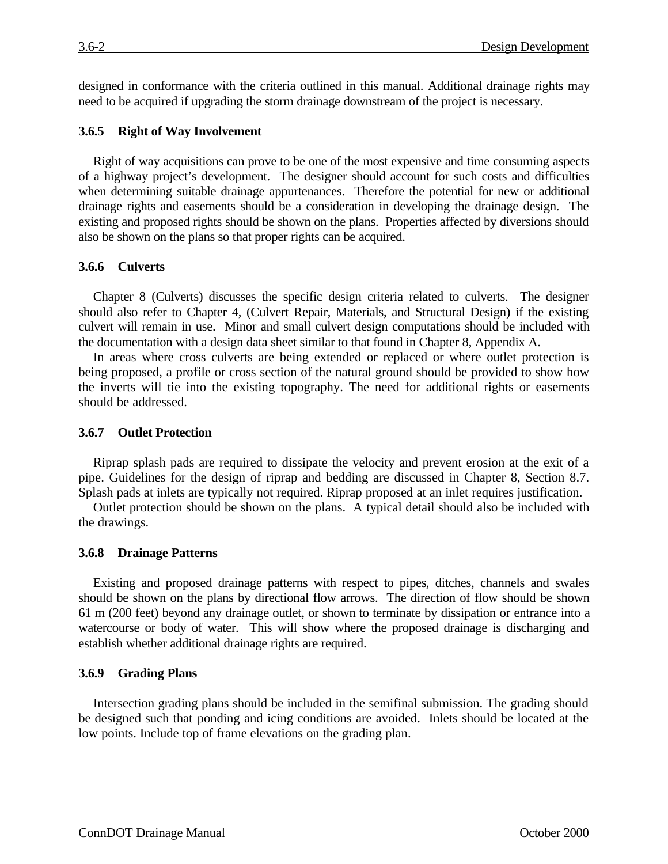designed in conformance with the criteria outlined in this manual. Additional drainage rights may need to be acquired if upgrading the storm drainage downstream of the project is necessary.

### **3.6.5 Right of Way Involvement**

Right of way acquisitions can prove to be one of the most expensive and time consuming aspects of a highway project's development. The designer should account for such costs and difficulties when determining suitable drainage appurtenances. Therefore the potential for new or additional drainage rights and easements should be a consideration in developing the drainage design. The existing and proposed rights should be shown on the plans. Properties affected by diversions should also be shown on the plans so that proper rights can be acquired.

## **3.6.6 Culverts**

Chapter 8 (Culverts) discusses the specific design criteria related to culverts. The designer should also refer to Chapter 4, (Culvert Repair, Materials, and Structural Design) if the existing culvert will remain in use. Minor and small culvert design computations should be included with the documentation with a design data sheet similar to that found in Chapter 8, Appendix A.

In areas where cross culverts are being extended or replaced or where outlet protection is being proposed, a profile or cross section of the natural ground should be provided to show how the inverts will tie into the existing topography. The need for additional rights or easements should be addressed.

## **3.6.7 Outlet Protection**

Riprap splash pads are required to dissipate the velocity and prevent erosion at the exit of a pipe. Guidelines for the design of riprap and bedding are discussed in Chapter 8, Section 8.7. Splash pads at inlets are typically not required. Riprap proposed at an inlet requires justification.

Outlet protection should be shown on the plans. A typical detail should also be included with the drawings.

### **3.6.8 Drainage Patterns**

Existing and proposed drainage patterns with respect to pipes, ditches, channels and swales should be shown on the plans by directional flow arrows. The direction of flow should be shown 61 m (200 feet) beyond any drainage outlet, or shown to terminate by dissipation or entrance into a watercourse or body of water. This will show where the proposed drainage is discharging and establish whether additional drainage rights are required.

### **3.6.9 Grading Plans**

Intersection grading plans should be included in the semifinal submission. The grading should be designed such that ponding and icing conditions are avoided. Inlets should be located at the low points. Include top of frame elevations on the grading plan.